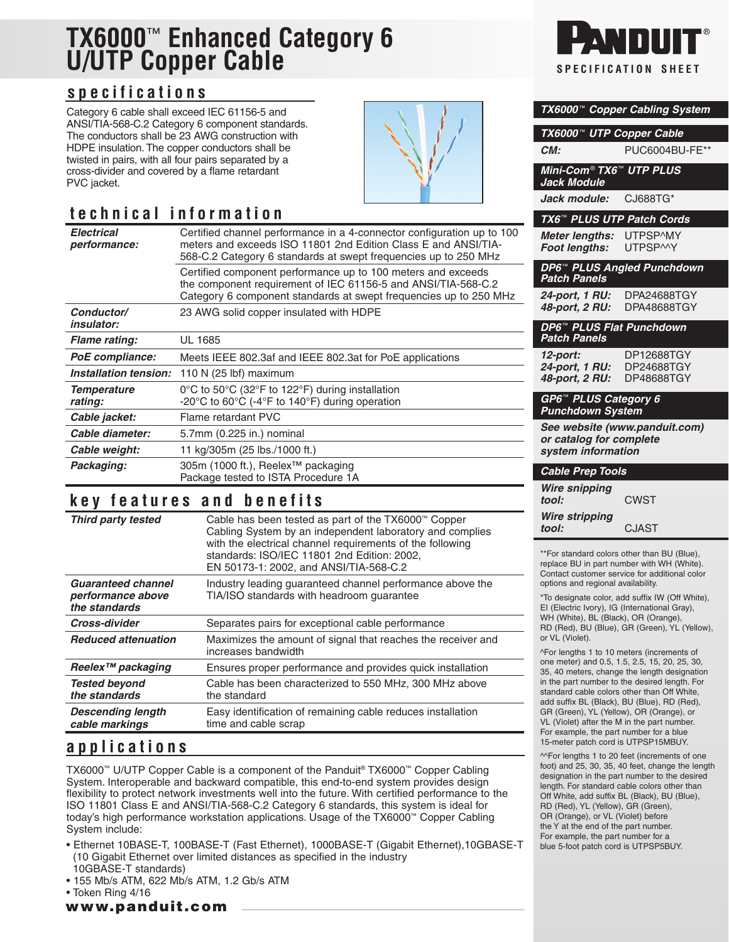# **TX6000**™ **Enhanced Category 6 U/UTP Copper Cable**

#### **specifications**

Category 6 cable shall exceed IEC 61156-5 and ANSI/TIA-568-C.2 Category 6 component standards. The conductors shall be 23 AWG construction with HDPE insulation. The copper conductors shall be twisted in pairs, with all four pairs separated by a cross-divider and covered by a flame retardant PVC jacket.

### **technical information**

| <b>Electrical</b><br><i>performance:</i> | Certified channel performance in a 4-connector configuration up to 100<br>meters and exceeds ISO 11801 2nd Edition Class E and ANSI/TIA-<br>568-C.2 Category 6 standards at swept frequencies up to 250 MHz |
|------------------------------------------|-------------------------------------------------------------------------------------------------------------------------------------------------------------------------------------------------------------|
|                                          | Certified component performance up to 100 meters and exceeds<br>the component requirement of IEC 61156-5 and ANSI/TIA-568-C.2<br>Category 6 component standards at swept frequencies up to 250 MHz          |
| Conductor/<br><i>insulator:</i>          | 23 AWG solid copper insulated with HDPE                                                                                                                                                                     |
| <b>Flame rating:</b>                     | UL 1685                                                                                                                                                                                                     |
| PoE compliance:                          | Meets IEEE 802.3af and IEEE 802.3at for PoE applications                                                                                                                                                    |
| Installation tension:                    | 110 N $(25 \text{ lbf})$ maximum                                                                                                                                                                            |
| <b>Temperature</b><br>rating:            | $0^{\circ}$ C to 50 $^{\circ}$ C (32 $^{\circ}$ F to 122 $^{\circ}$ F) during installation<br>-20 $\degree$ C to 60 $\degree$ C (-4 $\degree$ F to 140 $\degree$ F) during operation                        |
| Cable jacket:                            | Flame retardant PVC                                                                                                                                                                                         |
| Cable diameter:                          | 5.7mm (0.225 in.) nominal                                                                                                                                                                                   |
| Cable weight:                            | 11 kg/305m (25 lbs./1000 ft.)                                                                                                                                                                               |
| Packaging:                               | 305m (1000 ft.), Reelex™ packaging<br>Package tested to ISTA Procedure 1A                                                                                                                                   |

#### **key features and benefits**

| <b>Third party tested</b>                                       | Cable has been tested as part of the TX6000™ Copper<br>Cabling System by an independent laboratory and complies<br>with the electrical channel requirements of the following<br>standards: ISO/IEC 11801 2nd Edition: 2002,<br>EN 50173-1: 2002, and ANSI/TIA-568-C.2 |
|-----------------------------------------------------------------|-----------------------------------------------------------------------------------------------------------------------------------------------------------------------------------------------------------------------------------------------------------------------|
| <b>Guaranteed channel</b><br>performance above<br>the standards | Industry leading quaranteed channel performance above the<br>TIA/ISO standards with headroom guarantee                                                                                                                                                                |
| Cross-divider                                                   | Separates pairs for exceptional cable performance                                                                                                                                                                                                                     |
| <b>Reduced attenuation</b>                                      | Maximizes the amount of signal that reaches the receiver and<br>increases bandwidth                                                                                                                                                                                   |
| Reelex <sup>™</sup> packaging                                   | Ensures proper performance and provides quick installation                                                                                                                                                                                                            |
| <b>Tested beyond</b><br>the standards                           | Cable has been characterized to 550 MHz, 300 MHz above<br>the standard                                                                                                                                                                                                |
| <b>Descending length</b><br>cable markings                      | Easy identification of remaining cable reduces installation<br>time and cable scrap                                                                                                                                                                                   |

#### **applications**

TX6000™ U/UTP Copper Cable is a component of the Panduit® TX6000™ Copper Cabling System. Interoperable and backward compatible, this end-to-end system provides design flexibility to protect network investments well into the future. With certified performance to the ISO 11801 Class E and ANSI/TIA-568-C.2 Category 6 standards, this system is ideal for today's high performance workstation applications. Usage of the TX6000™ Copper Cabling System include:

- Ethernet 10BASE-T, 100BASE-T (Fast Ethernet), 1000BASE-T (Gigabit Ethernet),10GBASE-T (10 Gigabit Ethernet over limited distances as specified in the industry 10GBASE-T standards)
- 155 Mb/s ATM, 622 Mb/s ATM, 1.2 Gb/s ATM
- Token Ring 4/16

www.panduit.com



|                                                                                                                                                                                                                                     | TX6000 <sup>™</sup> Copper Cabling System |  |
|-------------------------------------------------------------------------------------------------------------------------------------------------------------------------------------------------------------------------------------|-------------------------------------------|--|
| <b>TX6000™</b>                                                                                                                                                                                                                      | <b>UTP Copper Cable</b>                   |  |
| CM:                                                                                                                                                                                                                                 | PUC6004BU-FE**                            |  |
| Mini-Com® TX6™ UTP PLUS<br><b>Jack Module</b>                                                                                                                                                                                       |                                           |  |
| Jack module:                                                                                                                                                                                                                        | CJ688TG*                                  |  |
| TX6 <sup>™</sup> PLUS UTP Patch Cords                                                                                                                                                                                               |                                           |  |
| Meter lengths:<br>Foot lengths:                                                                                                                                                                                                     | UTPSP^MY<br><b>UTPSPMY</b>                |  |
| <b>Patch Panels</b>                                                                                                                                                                                                                 | DP6 <sup>™</sup> PLUS Angled Punchdown    |  |
| 24-port, 1 <mark>RU:</mark><br>48-port, 2 RU:                                                                                                                                                                                       | DPA24688TGY<br>DPA48688TGY                |  |
| DP6 <sup>™</sup> PLUS Flat Punchdown<br><b>Patch Panels</b>                                                                                                                                                                         |                                           |  |
| 12-port:<br>24-port, 1 RU:<br>48-port, 2 RU:                                                                                                                                                                                        | DP12688TGY<br>DP24688TGY<br>DP48688TGY    |  |
| GP6™ PLUS Category 6<br><b>Punchdown System</b>                                                                                                                                                                                     |                                           |  |
| or catalog for complete<br>system information                                                                                                                                                                                       | See website (www.panduit.com)             |  |
| <b>Cable Prep Tools</b>                                                                                                                                                                                                             |                                           |  |
| <b>Wire snipping</b><br>tool:                                                                                                                                                                                                       | <b>CWST</b>                               |  |
| <b>Wire stripping</b><br>tool:                                                                                                                                                                                                      | <b>CJAST</b>                              |  |
| **For standard colors other than BU (Blue),<br>replace BU in part number with WH (White).<br>Contact customer service for additional color<br>options and regional availability.<br>*To designate color, add suffix IW (Off White), |                                           |  |
| El (Electric Ivory), IG (International Gray),<br>WH (White), BL (Black), OR (Orange),                                                                                                                                               |                                           |  |

EI (Electric Ivory), IG (International Gray), WH (White), BL (Black), OR (Orange), RD (Red), BU (Blue), GR (Green), YL (Yellow), or VL (Violet).

^For lengths 1 to 10 meters (increments of one meter) and 0.5, 1.5, 2.5, 15, 20, 25, 30, 35, 40 meters, change the length designation in the part number to the desired length. For standard cable colors other than Off White, add suffix BL (Black), BU (Blue), RD (Red), GR (Green), YL (Yellow), OR (Orange), or VL (Violet) after the M in the part number. For example, the part number for a blue 15-meter patch cord is UTPSP15MBUY.

^^For lengths 1 to 20 feet (increments of one foot) and 25, 30, 35, 40 feet, change the length designation in the part number to the desired length. For standard cable colors other than Off White, add suffix BL (Black), BU (Blue), RD (Red), YL (Yellow), GR (Green), OR (Orange), or VL (Violet) before the Y at the end of the part number. For example, the part number for a blue 5-foot patch cord is UTPSP5BUY.